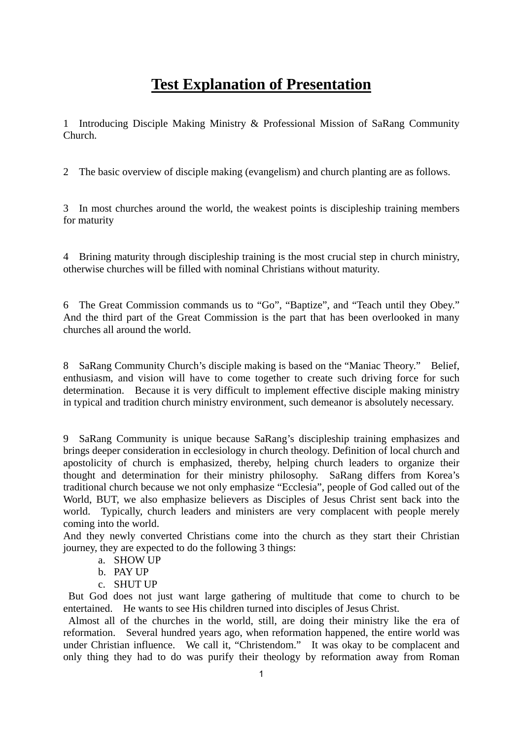# **Test Explanation of Presentation**

1 Introducing Disciple Making Ministry & Professional Mission of SaRang Community Church.

2 The basic overview of disciple making (evangelism) and church planting are as follows.

3 In most churches around the world, the weakest points is discipleship training members for maturity

4 Brining maturity through discipleship training is the most crucial step in church ministry, otherwise churches will be filled with nominal Christians without maturity.

6 The Great Commission commands us to "Go", "Baptize", and "Teach until they Obey." And the third part of the Great Commission is the part that has been overlooked in many churches all around the world.

8 SaRang Community Church's disciple making is based on the "Maniac Theory." Belief, enthusiasm, and vision will have to come together to create such driving force for such determination. Because it is very difficult to implement effective disciple making ministry in typical and tradition church ministry environment, such demeanor is absolutely necessary.

9 SaRang Community is unique because SaRang's discipleship training emphasizes and brings deeper consideration in ecclesiology in church theology. Definition of local church and apostolicity of church is emphasized, thereby, helping church leaders to organize their thought and determination for their ministry philosophy. SaRang differs from Korea's traditional church because we not only emphasize "Ecclesia", people of God called out of the World, BUT, we also emphasize believers as Disciples of Jesus Christ sent back into the world. Typically, church leaders and ministers are very complacent with people merely coming into the world.

And they newly converted Christians come into the church as they start their Christian journey, they are expected to do the following 3 things:

- a. SHOW UP
- b. PAY UP
- c. SHUT UP

But God does not just want large gathering of multitude that come to church to be entertained. He wants to see His children turned into disciples of Jesus Christ.

Almost all of the churches in the world, still, are doing their ministry like the era of reformation. Several hundred years ago, when reformation happened, the entire world was under Christian influence. We call it, "Christendom." It was okay to be complacent and only thing they had to do was purify their theology by reformation away from Roman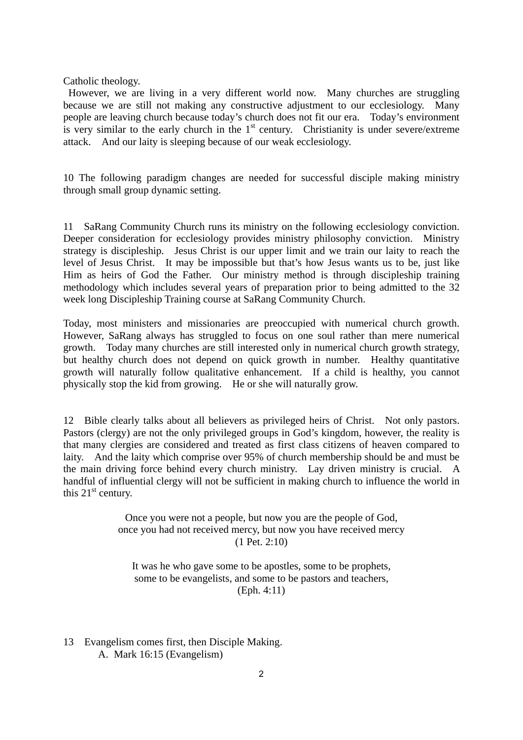Catholic theology.

However, we are living in a very different world now. Many churches are struggling because we are still not making any constructive adjustment to our ecclesiology. Many people are leaving church because today's church does not fit our era. Today's environment is very similar to the early church in the  $1<sup>st</sup>$  century. Christianity is under severe/extreme attack. And our laity is sleeping because of our weak ecclesiology.

10 The following paradigm changes are needed for successful disciple making ministry through small group dynamic setting.

11 SaRang Community Church runs its ministry on the following ecclesiology conviction. Deeper consideration for ecclesiology provides ministry philosophy conviction. Ministry strategy is discipleship. Jesus Christ is our upper limit and we train our laity to reach the level of Jesus Christ. It may be impossible but that's how Jesus wants us to be, just like Him as heirs of God the Father. Our ministry method is through discipleship training methodology which includes several years of preparation prior to being admitted to the 32 week long Discipleship Training course at SaRang Community Church.

Today, most ministers and missionaries are preoccupied with numerical church growth. However, SaRang always has struggled to focus on one soul rather than mere numerical growth. Today many churches are still interested only in numerical church growth strategy, but healthy church does not depend on quick growth in number. Healthy quantitative growth will naturally follow qualitative enhancement. If a child is healthy, you cannot physically stop the kid from growing. He or she will naturally grow.

12 Bible clearly talks about all believers as privileged heirs of Christ. Not only pastors. Pastors (clergy) are not the only privileged groups in God's kingdom, however, the reality is that many clergies are considered and treated as first class citizens of heaven compared to laity. And the laity which comprise over 95% of church membership should be and must be the main driving force behind every church ministry. Lay driven ministry is crucial. A handful of influential clergy will not be sufficient in making church to influence the world in this  $21<sup>st</sup>$  century.

> Once you were not a people, but now you are the people of God, once you had not received mercy, but now you have received mercy (1 Pet. 2:10)

It was he who gave some to be apostles, some to be prophets, some to be evangelists, and some to be pastors and teachers, (Eph. 4:11)

13 Evangelism comes first, then Disciple Making. A. Mark 16:15 (Evangelism)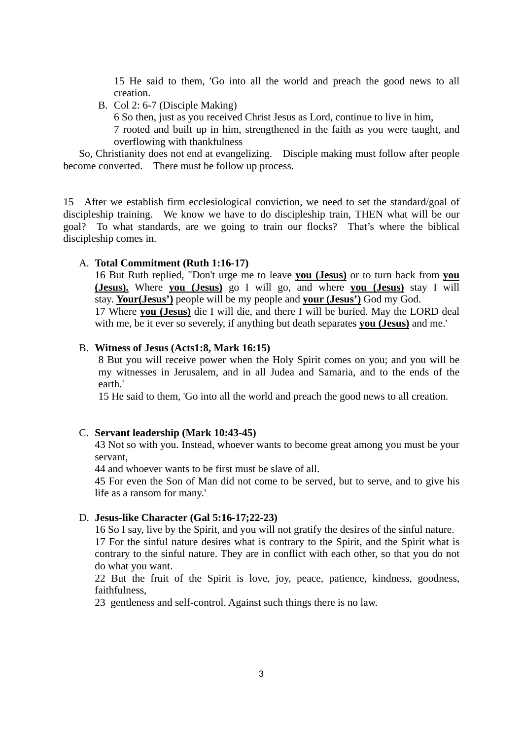15 He said to them, 'Go into all the world and preach the good news to all creation.

B. Col 2: 6-7 (Disciple Making)

6 So then, just as you received Christ Jesus as Lord, continue to live in him,

7 rooted and built up in him, strengthened in the faith as you were taught, and overflowing with thankfulness

 So, Christianity does not end at evangelizing. Disciple making must follow after people become converted. There must be follow up process.

15 After we establish firm ecclesiological conviction, we need to set the standard/goal of discipleship training. We know we have to do discipleship train, THEN what will be our goal? To what standards, are we going to train our flocks? That's where the biblical discipleship comes in.

# A. **Total Commitment (Ruth 1:16-17)**

16 But Ruth replied, "Don't urge me to leave **you (Jesus)** or to turn back from **you (Jesus).** Where **you (Jesus)** go I will go, and where **you (Jesus)** stay I will stay. **Your(Jesus')** people will be my people and **your (Jesus')** God my God. 17 Where **you (Jesus)** die I will die, and there I will be buried. May the LORD deal with me, be it ever so severely, if anything but death separates **you (Jesus)** and me.'

#### B. **Witness of Jesus (Acts1:8, Mark 16:15)**

8 But you will receive power when the Holy Spirit comes on you; and you will be my witnesses in Jerusalem, and in all Judea and Samaria, and to the ends of the earth.'

15 He said to them, 'Go into all the world and preach the good news to all creation.

## C. **Servant leadership (Mark 10:43-45)**

43 Not so with you. Instead, whoever wants to become great among you must be your servant,

44 and whoever wants to be first must be slave of all.

45 For even the Son of Man did not come to be served, but to serve, and to give his life as a ransom for many.'

## D. **Jesus-like Character (Gal 5:16-17;22-23)**

16 So I say, live by the Spirit, and you will not gratify the desires of the sinful nature. 17 For the sinful nature desires what is contrary to the Spirit, and the Spirit what is contrary to the sinful nature. They are in conflict with each other, so that you do not do what you want.

22 But the fruit of the Spirit is love, joy, peace, patience, kindness, goodness, faithfulness,

23 gentleness and self-control. Against such things there is no law.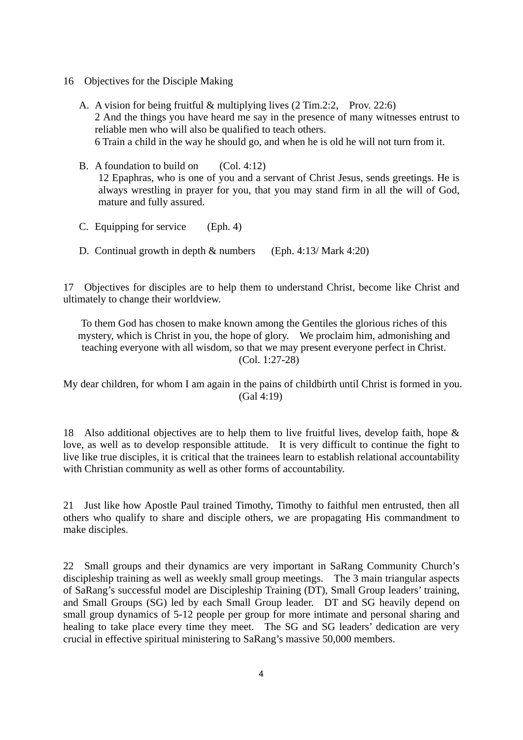- 16 Objectives for the Disciple Making
	- A. A vision for being fruitful & multiplying lives (2 Tim.2:2, Prov. 22:6) 2 And the things you have heard me say in the presence of many witnesses entrust to reliable men who will also be qualified to teach others. 6 Train a child in the way he should go, and when he is old he will not turn from it.
	- B. A foundation to build on (Col. 4:12) 12 Epaphras, who is one of you and a servant of Christ Jesus, sends greetings. He is always wrestling in prayer for you, that you may stand firm in all the will of God, mature and fully assured.
	- C. Equipping for service (Eph. 4)
	- D. Continual growth in depth & numbers (Eph. 4:13/ Mark 4:20)

17 Objectives for disciples are to help them to understand Christ, become like Christ and ultimately to change their worldview.

To them God has chosen to make known among the Gentiles the glorious riches of this mystery, which is Christ in you, the hope of glory. We proclaim him, admonishing and teaching everyone with all wisdom, so that we may present everyone perfect in Christ. (Col. 1:27-28)

My dear children, for whom I am again in the pains of childbirth until Christ is formed in you. (Gal 4:19)

18 Also additional objectives are to help them to live fruitful lives, develop faith, hope & love, as well as to develop responsible attitude. It is very difficult to continue the fight to live like true disciples, it is critical that the trainees learn to establish relational accountability with Christian community as well as other forms of accountability.

21 Just like how Apostle Paul trained Timothy, Timothy to faithful men entrusted, then all others who qualify to share and disciple others, we are propagating His commandment to make disciples.

22 Small groups and their dynamics are very important in SaRang Community Church's discipleship training as well as weekly small group meetings. The 3 main triangular aspects of SaRang's successful model are Discipleship Training (DT), Small Group leaders' training, and Small Groups (SG) led by each Small Group leader. DT and SG heavily depend on small group dynamics of 5-12 people per group for more intimate and personal sharing and healing to take place every time they meet. The SG and SG leaders' dedication are very crucial in effective spiritual ministering to SaRang's massive 50,000 members.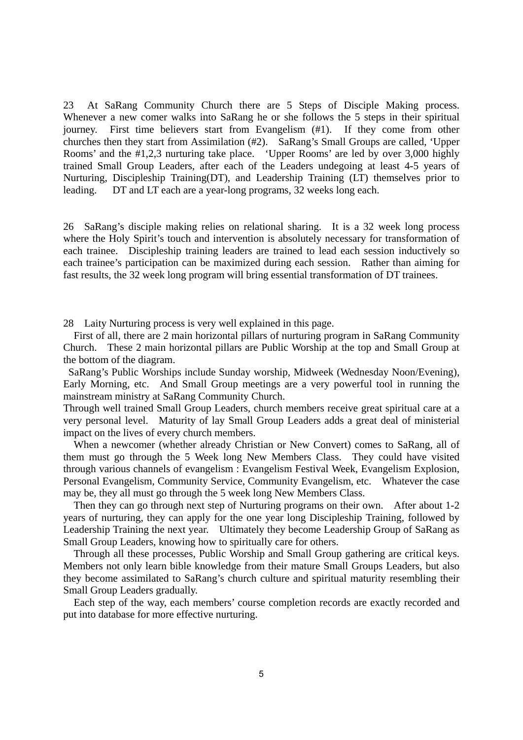23 At SaRang Community Church there are 5 Steps of Disciple Making process. Whenever a new comer walks into SaRang he or she follows the 5 steps in their spiritual journey. First time believers start from Evangelism (#1). If they come from other churches then they start from Assimilation (#2). SaRang's Small Groups are called, 'Upper Rooms' and the #1,2,3 nurturing take place. 'Upper Rooms' are led by over 3,000 highly trained Small Group Leaders, after each of the Leaders undegoing at least 4-5 years of Nurturing, Discipleship Training(DT), and Leadership Training (LT) themselves prior to leading. DT and LT each are a year-long programs, 32 weeks long each.

26 SaRang's disciple making relies on relational sharing. It is a 32 week long process where the Holy Spirit's touch and intervention is absolutely necessary for transformation of each trainee. Discipleship training leaders are trained to lead each session inductively so each trainee's participation can be maximized during each session. Rather than aiming for fast results, the 32 week long program will bring essential transformation of DT trainees.

28 Laity Nurturing process is very well explained in this page.

First of all, there are 2 main horizontal pillars of nurturing program in SaRang Community Church. These 2 main horizontal pillars are Public Worship at the top and Small Group at the bottom of the diagram.

SaRang's Public Worships include Sunday worship, Midweek (Wednesday Noon/Evening), Early Morning, etc. And Small Group meetings are a very powerful tool in running the mainstream ministry at SaRang Community Church.

Through well trained Small Group Leaders, church members receive great spiritual care at a very personal level. Maturity of lay Small Group Leaders adds a great deal of ministerial impact on the lives of every church members.

When a newcomer (whether already Christian or New Convert) comes to SaRang, all of them must go through the 5 Week long New Members Class. They could have visited through various channels of evangelism : Evangelism Festival Week, Evangelism Explosion, Personal Evangelism, Community Service, Community Evangelism, etc. Whatever the case may be, they all must go through the 5 week long New Members Class.

Then they can go through next step of Nurturing programs on their own. After about 1-2 years of nurturing, they can apply for the one year long Discipleship Training, followed by Leadership Training the next year. Ultimately they become Leadership Group of SaRang as Small Group Leaders, knowing how to spiritually care for others.

Through all these processes, Public Worship and Small Group gathering are critical keys. Members not only learn bible knowledge from their mature Small Groups Leaders, but also they become assimilated to SaRang's church culture and spiritual maturity resembling their Small Group Leaders gradually.

Each step of the way, each members' course completion records are exactly recorded and put into database for more effective nurturing.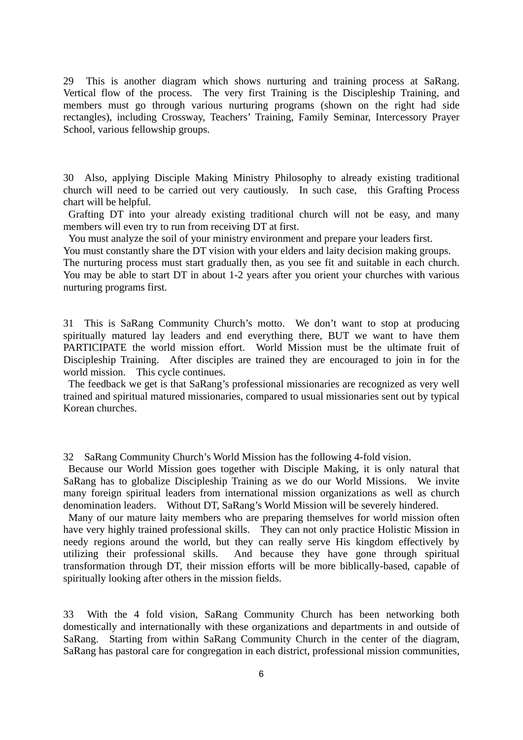29 This is another diagram which shows nurturing and training process at SaRang. Vertical flow of the process. The very first Training is the Discipleship Training, and members must go through various nurturing programs (shown on the right had side rectangles), including Crossway, Teachers' Training, Family Seminar, Intercessory Prayer School, various fellowship groups.

30 Also, applying Disciple Making Ministry Philosophy to already existing traditional church will need to be carried out very cautiously. In such case, this Grafting Process chart will be helpful.

 Grafting DT into your already existing traditional church will not be easy, and many members will even try to run from receiving DT at first.

You must analyze the soil of your ministry environment and prepare your leaders first.

You must constantly share the DT vision with your elders and laity decision making groups.

The nurturing process must start gradually then, as you see fit and suitable in each church. You may be able to start DT in about 1-2 years after you orient your churches with various nurturing programs first.

31 This is SaRang Community Church's motto. We don't want to stop at producing spiritually matured lay leaders and end everything there, BUT we want to have them PARTICIPATE the world mission effort. World Mission must be the ultimate fruit of Discipleship Training. After disciples are trained they are encouraged to join in for the world mission. This cycle continues.

 The feedback we get is that SaRang's professional missionaries are recognized as very well trained and spiritual matured missionaries, compared to usual missionaries sent out by typical Korean churches.

32 SaRang Community Church's World Mission has the following 4-fold vision.

Because our World Mission goes together with Disciple Making, it is only natural that SaRang has to globalize Discipleship Training as we do our World Missions. We invite many foreign spiritual leaders from international mission organizations as well as church denomination leaders. Without DT, SaRang's World Mission will be severely hindered.

 Many of our mature laity members who are preparing themselves for world mission often have very highly trained professional skills. They can not only practice Holistic Mission in needy regions around the world, but they can really serve His kingdom effectively by utilizing their professional skills. And because they have gone through spiritual transformation through DT, their mission efforts will be more biblically-based, capable of spiritually looking after others in the mission fields.

33 With the 4 fold vision, SaRang Community Church has been networking both domestically and internationally with these organizations and departments in and outside of SaRang. Starting from within SaRang Community Church in the center of the diagram, SaRang has pastoral care for congregation in each district, professional mission communities,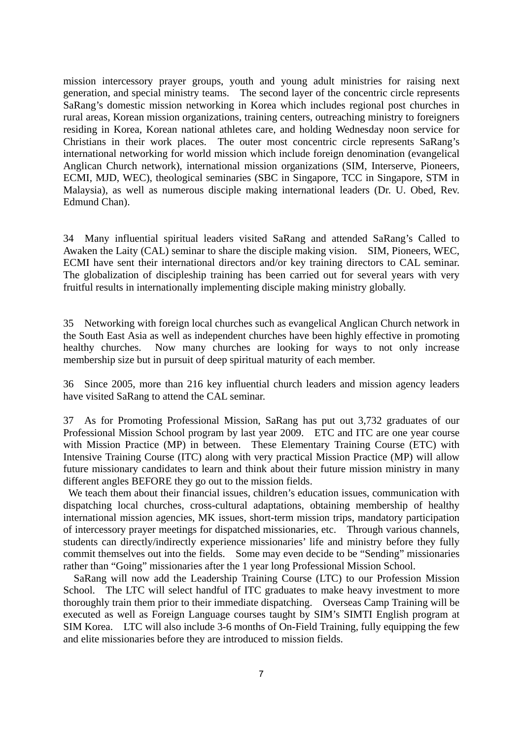mission intercessory prayer groups, youth and young adult ministries for raising next generation, and special ministry teams. The second layer of the concentric circle represents SaRang's domestic mission networking in Korea which includes regional post churches in rural areas, Korean mission organizations, training centers, outreaching ministry to foreigners residing in Korea, Korean national athletes care, and holding Wednesday noon service for Christians in their work places. The outer most concentric circle represents SaRang's international networking for world mission which include foreign denomination (evangelical Anglican Church network), international mission organizations (SIM, Interserve, Pioneers, ECMI, MJD, WEC), theological seminaries (SBC in Singapore, TCC in Singapore, STM in Malaysia), as well as numerous disciple making international leaders (Dr. U. Obed, Rev. Edmund Chan).

34 Many influential spiritual leaders visited SaRang and attended SaRang's Called to Awaken the Laity (CAL) seminar to share the disciple making vision. SIM, Pioneers, WEC, ECMI have sent their international directors and/or key training directors to CAL seminar. The globalization of discipleship training has been carried out for several years with very fruitful results in internationally implementing disciple making ministry globally.

35 Networking with foreign local churches such as evangelical Anglican Church network in the South East Asia as well as independent churches have been highly effective in promoting healthy churches. Now many churches are looking for ways to not only increase membership size but in pursuit of deep spiritual maturity of each member.

36 Since 2005, more than 216 key influential church leaders and mission agency leaders have visited SaRang to attend the CAL seminar.

37 As for Promoting Professional Mission, SaRang has put out 3,732 graduates of our Professional Mission School program by last year 2009. ETC and ITC are one year course with Mission Practice (MP) in between. These Elementary Training Course (ETC) with Intensive Training Course (ITC) along with very practical Mission Practice (MP) will allow future missionary candidates to learn and think about their future mission ministry in many different angles BEFORE they go out to the mission fields.

We teach them about their financial issues, children's education issues, communication with dispatching local churches, cross-cultural adaptations, obtaining membership of healthy international mission agencies, MK issues, short-term mission trips, mandatory participation of intercessory prayer meetings for dispatched missionaries, etc. Through various channels, students can directly/indirectly experience missionaries' life and ministry before they fully commit themselves out into the fields. Some may even decide to be "Sending" missionaries rather than "Going" missionaries after the 1 year long Professional Mission School.

 SaRang will now add the Leadership Training Course (LTC) to our Profession Mission School. The LTC will select handful of ITC graduates to make heavy investment to more thoroughly train them prior to their immediate dispatching. Overseas Camp Training will be executed as well as Foreign Language courses taught by SIM's SIMTI English program at SIM Korea. LTC will also include 3-6 months of On-Field Training, fully equipping the few and elite missionaries before they are introduced to mission fields.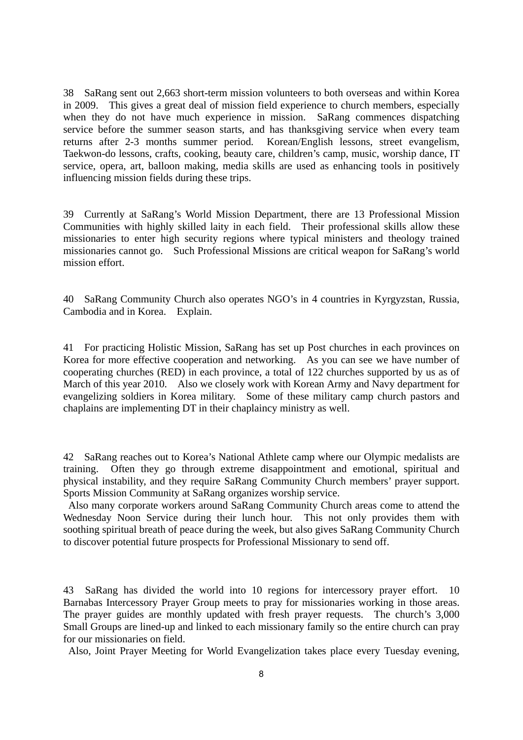38 SaRang sent out 2,663 short-term mission volunteers to both overseas and within Korea in 2009. This gives a great deal of mission field experience to church members, especially when they do not have much experience in mission. SaRang commences dispatching service before the summer season starts, and has thanksgiving service when every team returns after 2-3 months summer period. Korean/English lessons, street evangelism, Taekwon-do lessons, crafts, cooking, beauty care, children's camp, music, worship dance, IT service, opera, art, balloon making, media skills are used as enhancing tools in positively influencing mission fields during these trips.

39 Currently at SaRang's World Mission Department, there are 13 Professional Mission Communities with highly skilled laity in each field. Their professional skills allow these missionaries to enter high security regions where typical ministers and theology trained missionaries cannot go. Such Professional Missions are critical weapon for SaRang's world mission effort.

40 SaRang Community Church also operates NGO's in 4 countries in Kyrgyzstan, Russia, Cambodia and in Korea. Explain.

41 For practicing Holistic Mission, SaRang has set up Post churches in each provinces on Korea for more effective cooperation and networking. As you can see we have number of cooperating churches (RED) in each province, a total of 122 churches supported by us as of March of this year 2010. Also we closely work with Korean Army and Navy department for evangelizing soldiers in Korea military. Some of these military camp church pastors and chaplains are implementing DT in their chaplaincy ministry as well.

42 SaRang reaches out to Korea's National Athlete camp where our Olympic medalists are training. Often they go through extreme disappointment and emotional, spiritual and physical instability, and they require SaRang Community Church members' prayer support. Sports Mission Community at SaRang organizes worship service.

 Also many corporate workers around SaRang Community Church areas come to attend the Wednesday Noon Service during their lunch hour. This not only provides them with soothing spiritual breath of peace during the week, but also gives SaRang Community Church to discover potential future prospects for Professional Missionary to send off.

43 SaRang has divided the world into 10 regions for intercessory prayer effort. 10 Barnabas Intercessory Prayer Group meets to pray for missionaries working in those areas. The prayer guides are monthly updated with fresh prayer requests. The church's 3,000 Small Groups are lined-up and linked to each missionary family so the entire church can pray for our missionaries on field.

Also, Joint Prayer Meeting for World Evangelization takes place every Tuesday evening,